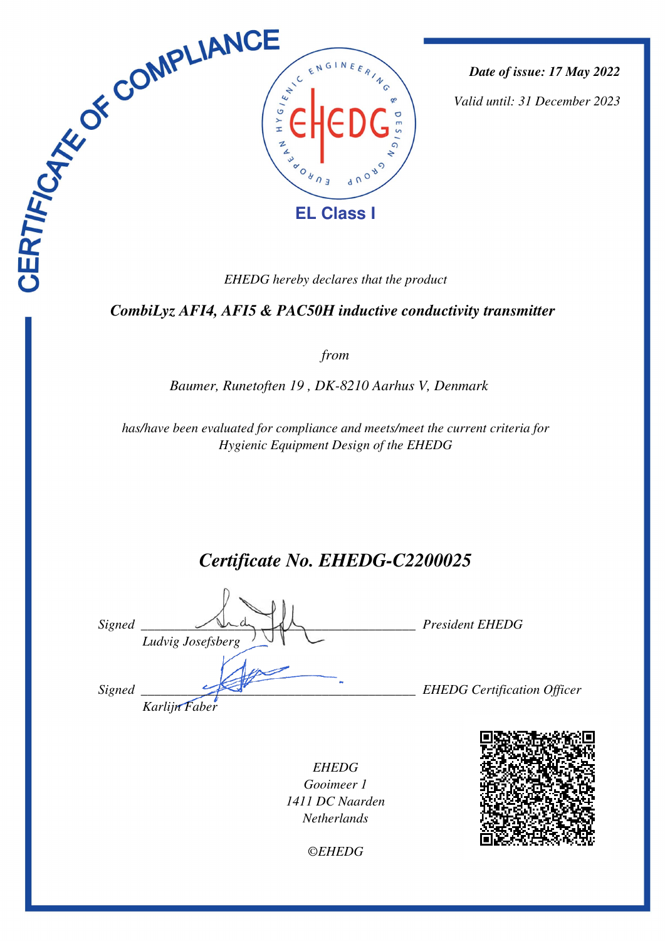

*Date of issue: 17 May 2022*

*Valid until: 31 December 2023*

 *CombiLyz AFI4, AFI5 & PAC50H inductive conductivity transmitter* 

*from*

*Baumer, Runetoften 19 , DK-8210 Aarhus V, Denmark* 

*has/have been evaluated for compliance and meets/meet the current criteria for Hygienic Equipment Design of the EHEDG*

*Certificate No. EHEDG-C2200025*

| Signed | Ludvig Josefsberg | <b>President EHEDG</b>             |
|--------|-------------------|------------------------------------|
| Signed | Karlijn Faber     | <b>EHEDG</b> Certification Officer |

*EHEDG Gooimeer 1 1411 DC Naarden Netherlands*



*©EHEDG*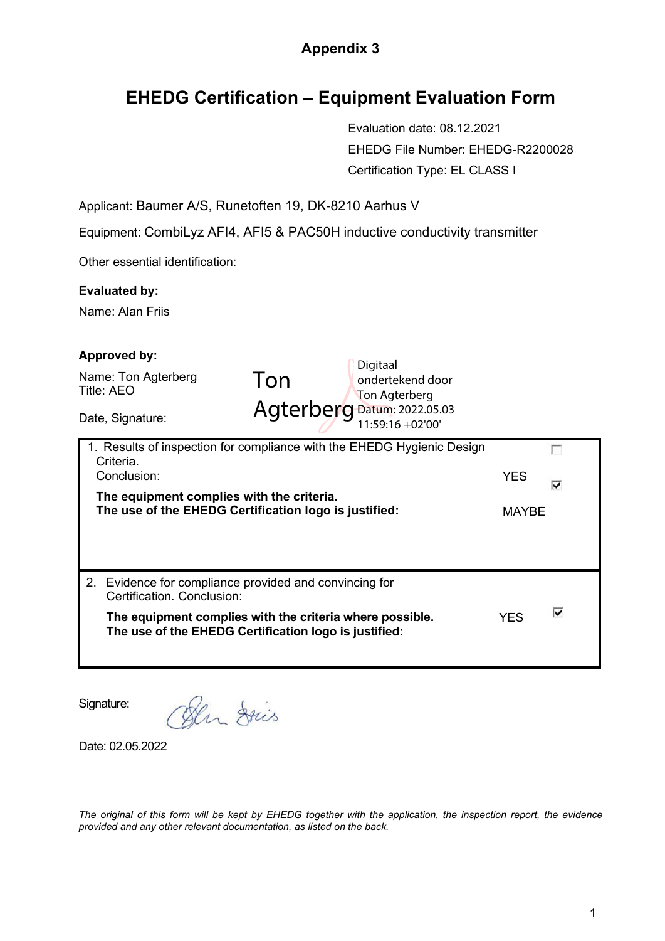## **Appendix 3**

## **EHEDG Certification – Equipment Evaluation Form**

Evaluation date: 08.12.2021 EHEDG File Number: EHEDG-R2200028 Certification Type: EL CLASS I

Applicant: Baumer A/S, Runetoften 19, DK-8210 Aarhus V

Equipment: CombiLyz AFI4, AFI5 & PAC50H inductive conductivity transmitter

Other essential identification:

## **Evaluated by:**

Name: Alan Friis

| <b>Approved by:</b>                                                                                                                                                                                          |                                                 |                            |   |
|--------------------------------------------------------------------------------------------------------------------------------------------------------------------------------------------------------------|-------------------------------------------------|----------------------------|---|
| Name: Ton Agterberg<br>Ton<br>Title: AEO                                                                                                                                                                     | Digitaal<br>ondertekend door<br>Ton Agterberg   |                            |   |
| Date, Signature:                                                                                                                                                                                             | Agterberg Datum: 2022.05.03<br>11:59:16 +02'00' |                            |   |
| 1. Results of inspection for compliance with the EHEDG Hygienic Design<br>Criteria.<br>Conclusion:<br>The equipment complies with the criteria.<br>The use of the EHEDG Certification logo is justified:     |                                                 | <b>YES</b><br><b>MAYBE</b> | ⊽ |
| Evidence for compliance provided and convincing for<br>2.<br>Certification. Conclusion:<br>The equipment complies with the criteria where possible.<br>The use of the EHEDG Certification logo is justified: |                                                 | <b>YES</b>                 | ⊽ |

Signature:

Den Dries

Date: 02.05.2022

*The original of this form will be kept by EHEDG together with the application, the inspection report, the evidence provided and any other relevant documentation, as listed on the back.*